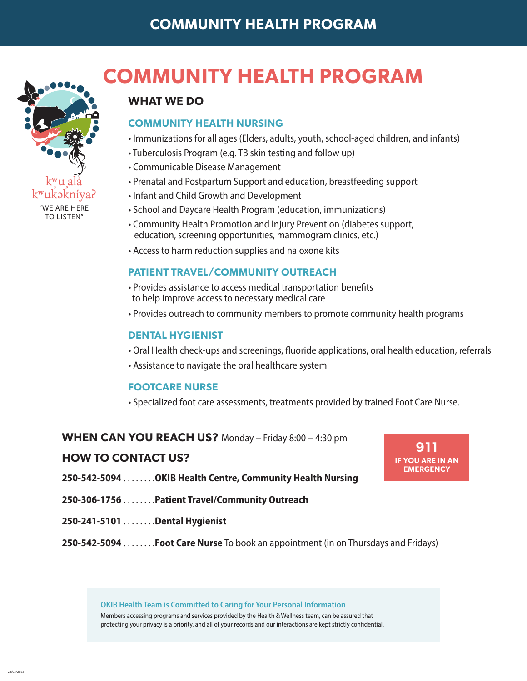# **COMMUNITY HEALTH PROGRAM**



28/03/2022

# **COMMUNITY HEALTH PROGRAM**

## **WHAT WE DO**

## **COMMUNITY HEALTH NURSING**

- Immunizations for all ages (Elders, adults, youth, school-aged children, and infants)
- Tuberculosis Program (e.g. TB skin testing and follow up)
- Communicable Disease Management
- Prenatal and Postpartum Support and education, breastfeeding support
- Infant and Child Growth and Development
- School and Daycare Health Program (education, immunizations)
- Community Health Promotion and Injury Prevention (diabetes support, education, screening opportunities, mammogram clinics, etc.)
- Access to harm reduction supplies and naloxone kits

## **PATIENT TRAVEL/COMMUNITY OUTREACH**

- Provides assistance to access medical transportation benefits to help improve access to necessary medical care
- Provides outreach to community members to promote community health programs

## **DENTAL HYGIENIST**

- Oral Health check-ups and screenings, fluoride applications, oral health education, referrals
- Assistance to navigate the oral healthcare system

### **FOOTCARE NURSE**

• Specialized foot care assessments, treatments provided by trained Foot Care Nurse.

## **WHEN CAN YOU REACH US?** Monday – Friday 8:00 – 4:30 pm

## **HOW TO CONTACT US?**

- **911 IF YOU ARE IN AN EMERGENCY**
- **250-542-5094**. **OKIB Health Centre, Community Health Nursing**
- **250-306-1756**. **Patient Travel/Community Outreach**
- **250-241-5101**. **Dental Hygienist**
- **250-542-5094**. **Foot Care Nurse** To book an appointment (in on Thursdays and Fridays)

**OKIB Health Team is Committed to Caring for Your Personal Information**

Members accessing programs and services provided by the Health & Wellness team, can be assured that protecting your privacy is a priority, and all of your records and our interactions are kept strictly confidential.